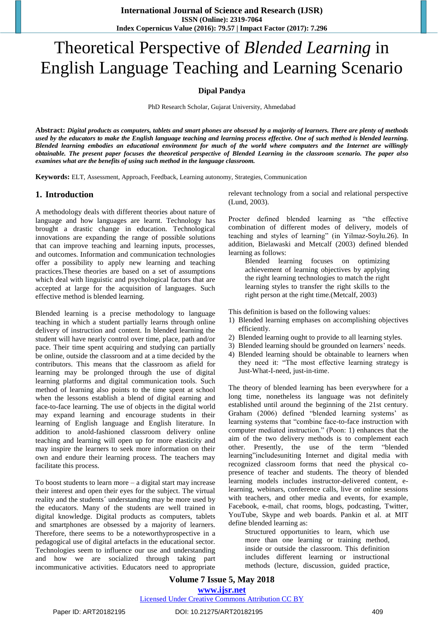# Theoretical Perspective of *Blended Learning* in English Language Teaching and Learning Scenario

#### **Dipal Pandya**

PhD Research Scholar, Gujarat University, Ahmedabad

**Abstract:** *Digital products as computers, tablets and smart phones are obsessed by a majority of learners. There are plenty of methods used by the educators to make the English language teaching and learning process effective. One of such method is blended learning. Blended learning embodies an educational environment for much of the world where computers and the Internet are willingly obtainable. The present paper focuses the theoretical perspective of Blended Learning in the classroom scenario. The paper also examines what are the benefits of using such method in the language classroom.* 

**Keywords:** ELT, Assessment, Approach, Feedback, Learning autonomy, Strategies, Communication

#### **1. Introduction**

A methodology deals with different theories about nature of language and how languages are learnt. Technology has brought a drastic change in education. Technological innovations are expanding the range of possible solutions that can improve teaching and learning inputs, processes, and outcomes. Information and communication technologies offer a possibility to apply new learning and teaching practices.These theories are based on a set of assumptions which deal with linguistic and psychological factors that are accepted at large for the acquisition of languages. Such effective method is blended learning.

Blended learning is a precise methodology to language teaching in which a student partially learns through online delivery of instruction and content. In blended learning the student will have nearly control over time, place, path and/or pace. Their time spent acquiring and studying can partially be online, outside the classroom and at a time decided by the contributors. This means that the classroom as afield for learning may be prolonged through the use of digital learning platforms and digital communication tools. Such method of learning also points to the time spent at school when the lessons establish a blend of digital earning and face-to-face learning. The use of objects in the digital world may expand learning and encourage students in their learning of English language and English literature. In addition to anold-fashioned classroom delivery online teaching and learning will open up for more elasticity and may inspire the learners to seek more information on their own and endure their learning process. The teachers may facilitate this process.

To boost students to learn more  $-$  a digital start may increase their interest and open their eyes for the subject. The virtual reality and the students´ understanding may be more used by the educators. Many of the students are well trained in digital knowledge. Digital products as computers, tablets and smartphones are obsessed by a majority of learners. Therefore, there seems to be a noteworthyprospective in a pedagogical use of digital artefacts in the educational sector. Technologies seem to influence our use and understanding and how we are socialized through taking part incommunicative activities. Educators need to appropriate relevant technology from a social and relational perspective (Lund, 2003).

Procter defined blended learning as "the effective combination of different modes of delivery, models of teaching and styles of learning" (in Yilmaz-Soylu.26). In addition, Bielawaski and Metcalf (2003) defined blended learning as follows:

Blended learning focuses on optimizing achievement of learning objectives by applying the right learning technologies to match the right learning styles to transfer the right skills to the right person at the right time.(Metcalf, 2003)

This definition is based on the following values:

- 1) Blended learning emphases on accomplishing objectives efficiently.
- 2) Blended learning ought to provide to all learning styles.
- 3) Blended learning should be grounded on learners' needs.
- 4) Blended learning should be obtainable to learners when they need it: "The most effective learning strategy is Just-What-I-need, just-in-time.

The theory of blended learning has been everywhere for a long time, nonetheless its language was not definitely established until around the beginning of the 21st century. Graham (2006) defined "blended learning systems' as learning systems that "combine face-to-face instruction with computer mediated instruction." (Poon: 1) enhances that the aim of the two delivery methods is to complement each other. Presently, the use of the term "blended learning"includesuniting Internet and digital media with recognized classroom forms that need the physical copresence of teacher and students. The theory of blended learning models includes instructor-delivered content, elearning, webinars, conference calls, live or online sessions with teachers, and other media and events, for example, Facebook, e-mail, chat rooms, blogs, podcasting, Twitter, YouTube, Skype and web boards. Pankin et al. at MIT define blended learning as:

Structured opportunities to learn, which use more than one learning or training method, inside or outside the classroom. This definition includes different learning or instructional methods (lecture, discussion, guided practice,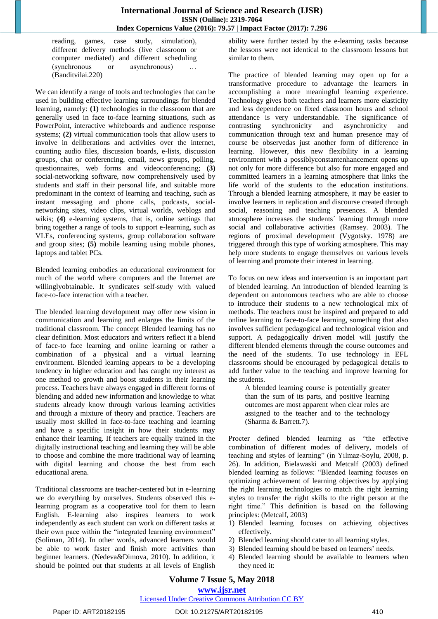reading, games, case study, simulation), different delivery methods (live classroom or computer mediated) and different scheduling (synchronous or asynchronous) … (Banditvilai.220)

We can identify a range of tools and technologies that can be used in building effective learning surroundings for blended learning, namely: **(1)** technologies in the classroom that are generally used in face to-face learning situations, such as PowerPoint, interactive whiteboards and audience response systems; **(2)** virtual communication tools that allow users to involve in deliberations and activities over the internet, counting audio files, discussion boards, e-lists, discussion groups, chat or conferencing, email, news groups, polling, questionnaires, web forms and videoconferencing; **(3)** social-networking software, now comprehensively used by students and staff in their personal life, and suitable more predominant in the context of learning and teaching, such as instant messaging and phone calls, podcasts, socialnetworking sites, video clips, virtual worlds, weblogs and wikis; **(4)** e-learning systems, that is, online settings that bring together a range of tools to support e-learning, such as VLEs, conferencing systems, group collaboration software and group sites; **(5)** mobile learning using mobile phones, laptops and tablet PCs.

Blended learning embodies an educational environment for much of the world where computers and the Internet are willinglyobtainable. It syndicates self-study with valued face-to-face interaction with a teacher.

The blended learning development may offer new vision in communication and learning and enlarges the limits of the traditional classroom. The concept Blended learning has no clear definition. Most educators and writers reflect it a blend of face-to face learning and online learning or rather a combination of a physical and a virtual learning environment. Blended learning appears to be a developing tendency in higher education and has caught my interest as one method to growth and boost students in their learning process. Teachers have always engaged in different forms of blending and added new information and knowledge to what students already know through various learning activities and through a mixture of theory and practice. Teachers are usually most skilled in face-to-face teaching and learning and have a specific insight in how their students may enhance their learning. If teachers are equally trained in the digitally instructional teaching and learning they will be able to choose and combine the more traditional way of learning with digital learning and choose the best from each educational arena.

Traditional classrooms are teacher-centered but in e-learning we do everything by ourselves. Students observed this elearning program as a cooperative tool for them to learn English. E-learning also inspires learners to work independently as each student can work on different tasks at their own pace within the "integrated learning environment" (Soliman, 2014). In other words, advanced learners would be able to work faster and finish more activities than beginner learners. (Nedeva&Dimova, 2010). In addition, it should be pointed out that students at all levels of English ability were further tested by the e-learning tasks because the lessons were not identical to the classroom lessons but similar to them.

The practice of blended learning may open up for a transformative procedure to advantage the learners in accomplishing a more meaningful learning experience. Technology gives both teachers and learners more elasticity and less dependence on fixed classroom hours and school attendance is very understandable. The significance of contrasting synchronicity and asynchronicity and communication through text and human presence may of course be observedas just another form of difference in learning. However, this new flexibility in a learning environment with a possiblyconstantenhancement opens up not only for more difference but also for more engaged and committed learners in a learning atmosphere that links the life world of the students to the education institutions. Through a blended learning atmosphere, it may be easier to involve learners in replication and discourse created through social, reasoning and teaching presences. A blended atmosphere increases the students´ learning through more social and collaborative activities (Ramsey. 2003). The regions of proximal development (Vygotsky. 1978) are triggered through this type of working atmosphere. This may help more students to engage themselves on various levels of learning and promote their interest in learning.

To focus on new ideas and intervention is an important part of blended learning. An introduction of blended learning is dependent on autonomous teachers who are able to choose to introduce their students to a new technological mix of methods. The teachers must be inspired and prepared to add online learning to face-to-face learning, something that also involves sufficient pedagogical and technological vision and support. A pedagogically driven model will justify the different blended elements through the course outcomes and the need of the students. To use technology in EFL classrooms should be encouraged by pedagogical details to add further value to the teaching and improve learning for the students.

A blended learning course is potentially greater than the sum of its parts, and positive learning outcomes are most apparent when clear roles are assigned to the teacher and to the technology (Sharma & Barrett.7).

Procter defined blended learning as "the effective combination of different modes of delivery, models of teaching and styles of learning" (in Yilmaz-Soylu, 2008, p. 26). In addition, Bielawaski and Metcalf (2003) defined blended learning as follows: "Blended learning focuses on optimizing achievement of learning objectives by applying the right learning technologies to match the right learning styles to transfer the right skills to the right person at the right time." This definition is based on the following principles: (Metcalf, 2003)

- 1) Blended learning focuses on achieving objectives effectively.
- 2) Blended learning should cater to all learning styles.
- 3) Blended learning should be based on learners' needs.
- 4) Blended learning should be available to learners when they need it: